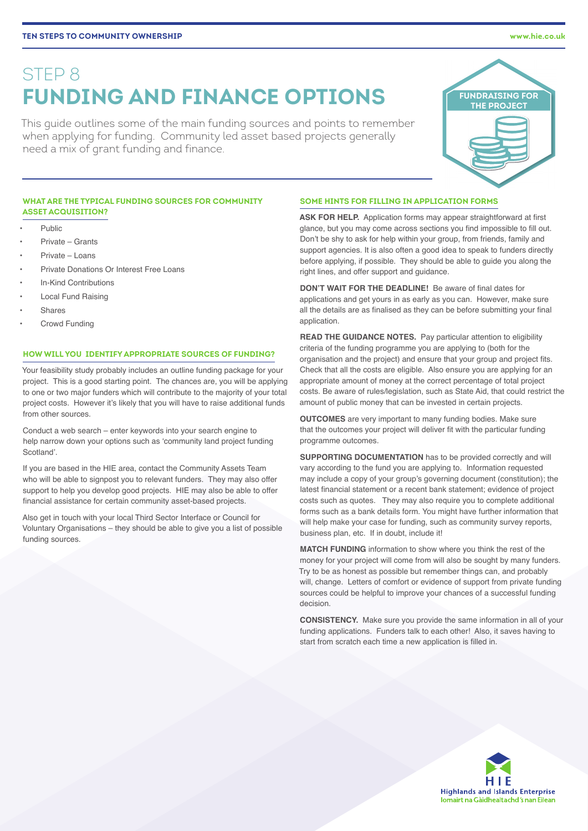# STEP 8 **FUNDING AND FINANCE OPTIONS**

This guide outlines some of the main funding sources and points to remember when applying for funding. Community led asset based projects generally need a mix of grant funding and finance.

## **WHAT ARE THE TYPICAL FUNDING SOURCES FOR COMMUNITY ASSET ACQUISITION?**

- Public
- Private Grants
- Private Loans
- Private Donations Or Interest Free Loans
- In-Kind Contributions
- Local Fund Raising
- Shares
- Crowd Funding

### **HOW WILL YOU IDENTIFY APPROPRIATE SOURCES OF FUNDING?**

Your feasibility study probably includes an outline funding package for your project. This is a good starting point. The chances are, you will be applying to one or two major funders which will contribute to the majority of your total project costs. However it's likely that you will have to raise additional funds from other sources.

Conduct a web search – enter keywords into your search engine to help narrow down your options such as 'community land project funding Scotland'.

If you are based in the HIE area, contact the Community Assets Team who will be able to signpost you to relevant funders. They may also offer support to help you develop good projects. HIE may also be able to offer financial assistance for certain community asset-based projects.

Also get in touch with your local Third Sector Interface or Council for Voluntary Organisations – they should be able to give you a list of possible funding sources

#### **SOME HINTS FOR FILLING IN APPLICATION FORMS**

**ASK FOR HELP.** Application forms may appear straightforward at first glance, but you may come across sections you find impossible to fill out. Don't be shy to ask for help within your group, from friends, family and support agencies. It is also often a good idea to speak to funders directly before applying, if possible. They should be able to guide you along the right lines, and offer support and guidance.

**DON'T WAIT FOR THE DEADLINE!** Be aware of final dates for applications and get yours in as early as you can. However, make sure all the details are as finalised as they can be before submitting your final application.

**READ THE GUIDANCE NOTES.** Pay particular attention to eligibility criteria of the funding programme you are applying to (both for the organisation and the project) and ensure that your group and project fits. Check that all the costs are eligible. Also ensure you are applying for an appropriate amount of money at the correct percentage of total project costs. Be aware of rules/legislation, such as State Aid, that could restrict the amount of public money that can be invested in certain projects.

**OUTCOMES** are very important to many funding bodies. Make sure that the outcomes your project will deliver fit with the particular funding programme outcomes.

**SUPPORTING DOCUMENTATION** has to be provided correctly and will vary according to the fund you are applying to. Information requested may include a copy of your group's governing document (constitution); the latest financial statement or a recent bank statement; evidence of project costs such as quotes. They may also require you to complete additional forms such as a bank details form. You might have further information that will help make your case for funding, such as community survey reports, business plan, etc. If in doubt, include it!

**MATCH FUNDING** information to show where you think the rest of the money for your project will come from will also be sought by many funders. Try to be as honest as possible but remember things can, and probably will, change. Letters of comfort or evidence of support from private funding sources could be helpful to improve your chances of a successful funding decision.

**CONSISTENCY.** Make sure you provide the same information in all of your funding applications. Funders talk to each other! Also, it saves having to start from scratch each time a new application is filled in.